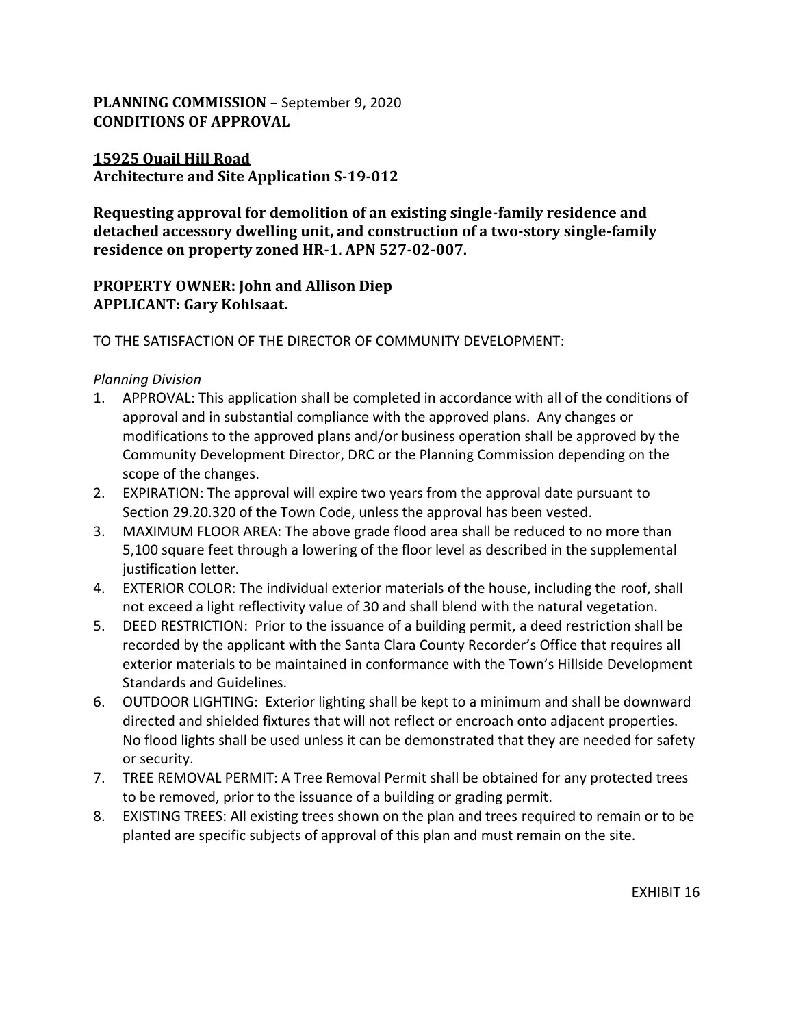## **PLANNING COMMISSION –** September 9, 2020 **CONDITIONS OF APPROVAL**

## **15925 Quail Hill Road Architecture and Site Application S-19-012**

**Requesting approval for demolition of an existing single-family residence and detached accessory dwelling unit, and construction of a two-story single-family residence on property zoned HR-1. APN 527-02-007.**

## **PROPERTY OWNER: John and Allison Diep APPLICANT: Gary Kohlsaat.**

TO THE SATISFACTION OF THE DIRECTOR OF COMMUNITY DEVELOPMENT:

#### *Planning Division*

- 1. APPROVAL: This application shall be completed in accordance with all of the conditions of approval and in substantial compliance with the approved plans. Any changes or modifications to the approved plans and/or business operation shall be approved by the Community Development Director, DRC or the Planning Commission depending on the scope of the changes.
- 2. EXPIRATION: The approval will expire two years from the approval date pursuant to Section 29.20.320 of the Town Code, unless the approval has been vested.
- 3. MAXIMUM FLOOR AREA: The above grade flood area shall be reduced to no more than 5,100 square feet through a lowering of the floor level as described in the supplemental justification letter.
- 4. EXTERIOR COLOR: The individual exterior materials of the house, including the roof, shall not exceed a light reflectivity value of 30 and shall blend with the natural vegetation.
- 5. DEED RESTRICTION: Prior to the issuance of a building permit, a deed restriction shall be recorded by the applicant with the Santa Clara County Recorder's Office that requires all exterior materials to be maintained in conformance with the Town's Hillside Development Standards and Guidelines.
- 6. OUTDOOR LIGHTING: Exterior lighting shall be kept to a minimum and shall be downward directed and shielded fixtures that will not reflect or encroach onto adjacent properties. No flood lights shall be used unless it can be demonstrated that they are needed for safety or security.
- 7. TREE REMOVAL PERMIT: A Tree Removal Permit shall be obtained for any protected trees to be removed, prior to the issuance of a building or grading permit.
- 8. EXISTING TREES: All existing trees shown on the plan and trees required to remain or to be planted are specific subjects of approval of this plan and must remain on the site.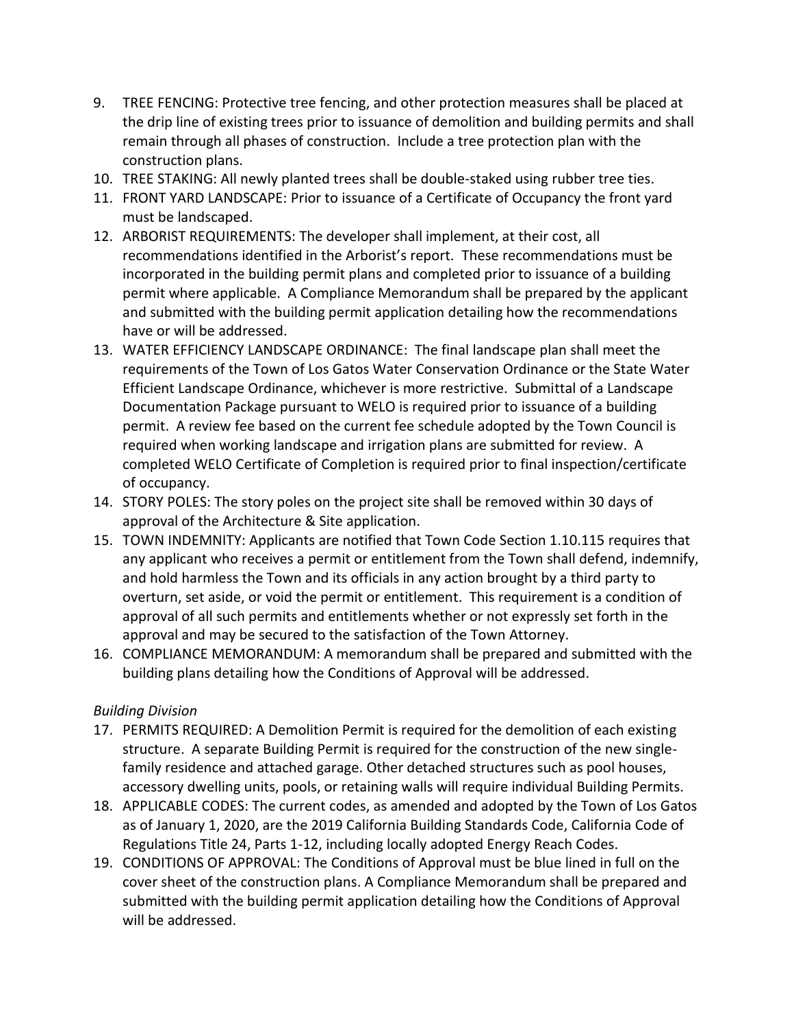- 9. TREE FENCING: Protective tree fencing, and other protection measures shall be placed at the drip line of existing trees prior to issuance of demolition and building permits and shall remain through all phases of construction. Include a tree protection plan with the construction plans.
- 10. TREE STAKING: All newly planted trees shall be double-staked using rubber tree ties.
- 11. FRONT YARD LANDSCAPE: Prior to issuance of a Certificate of Occupancy the front yard must be landscaped.
- 12. ARBORIST REQUIREMENTS: The developer shall implement, at their cost, all recommendations identified in the Arborist's report. These recommendations must be incorporated in the building permit plans and completed prior to issuance of a building permit where applicable. A Compliance Memorandum shall be prepared by the applicant and submitted with the building permit application detailing how the recommendations have or will be addressed.
- 13. WATER EFFICIENCY LANDSCAPE ORDINANCE: The final landscape plan shall meet the requirements of the Town of Los Gatos Water Conservation Ordinance or the State Water Efficient Landscape Ordinance, whichever is more restrictive. Submittal of a Landscape Documentation Package pursuant to WELO is required prior to issuance of a building permit. A review fee based on the current fee schedule adopted by the Town Council is required when working landscape and irrigation plans are submitted for review. A completed WELO Certificate of Completion is required prior to final inspection/certificate of occupancy.
- 14. STORY POLES: The story poles on the project site shall be removed within 30 days of approval of the Architecture & Site application.
- 15. TOWN INDEMNITY: Applicants are notified that Town Code Section 1.10.115 requires that any applicant who receives a permit or entitlement from the Town shall defend, indemnify, and hold harmless the Town and its officials in any action brought by a third party to overturn, set aside, or void the permit or entitlement. This requirement is a condition of approval of all such permits and entitlements whether or not expressly set forth in the approval and may be secured to the satisfaction of the Town Attorney.
- 16. COMPLIANCE MEMORANDUM: A memorandum shall be prepared and submitted with the building plans detailing how the Conditions of Approval will be addressed.

### *Building Division*

- 17. PERMITS REQUIRED: A Demolition Permit is required for the demolition of each existing structure. A separate Building Permit is required for the construction of the new singlefamily residence and attached garage. Other detached structures such as pool houses, accessory dwelling units, pools, or retaining walls will require individual Building Permits.
- 18. APPLICABLE CODES: The current codes, as amended and adopted by the Town of Los Gatos as of January 1, 2020, are the 2019 California Building Standards Code, California Code of Regulations Title 24, Parts 1-12, including locally adopted Energy Reach Codes.
- 19. CONDITIONS OF APPROVAL: The Conditions of Approval must be blue lined in full on the cover sheet of the construction plans. A Compliance Memorandum shall be prepared and submitted with the building permit application detailing how the Conditions of Approval will be addressed.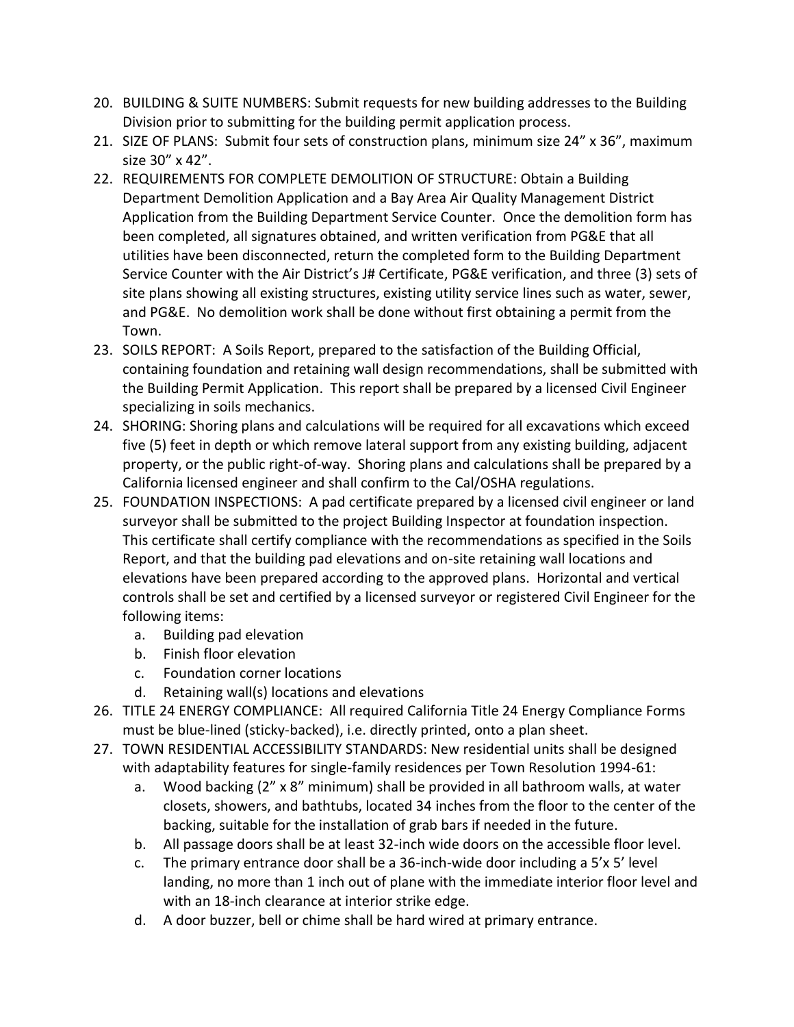- 20. BUILDING & SUITE NUMBERS: Submit requests for new building addresses to the Building Division prior to submitting for the building permit application process.
- 21. SIZE OF PLANS: Submit four sets of construction plans, minimum size 24" x 36", maximum size 30" x 42".
- 22. REQUIREMENTS FOR COMPLETE DEMOLITION OF STRUCTURE: Obtain a Building Department Demolition Application and a Bay Area Air Quality Management District Application from the Building Department Service Counter. Once the demolition form has been completed, all signatures obtained, and written verification from PG&E that all utilities have been disconnected, return the completed form to the Building Department Service Counter with the Air District's J# Certificate, PG&E verification, and three (3) sets of site plans showing all existing structures, existing utility service lines such as water, sewer, and PG&E. No demolition work shall be done without first obtaining a permit from the Town.
- 23. SOILS REPORT: A Soils Report, prepared to the satisfaction of the Building Official, containing foundation and retaining wall design recommendations, shall be submitted with the Building Permit Application. This report shall be prepared by a licensed Civil Engineer specializing in soils mechanics.
- 24. SHORING: Shoring plans and calculations will be required for all excavations which exceed five (5) feet in depth or which remove lateral support from any existing building, adjacent property, or the public right-of-way. Shoring plans and calculations shall be prepared by a California licensed engineer and shall confirm to the Cal/OSHA regulations.
- 25. FOUNDATION INSPECTIONS: A pad certificate prepared by a licensed civil engineer or land surveyor shall be submitted to the project Building Inspector at foundation inspection. This certificate shall certify compliance with the recommendations as specified in the Soils Report, and that the building pad elevations and on-site retaining wall locations and elevations have been prepared according to the approved plans. Horizontal and vertical controls shall be set and certified by a licensed surveyor or registered Civil Engineer for the following items:
	- a. Building pad elevation
	- b. Finish floor elevation
	- c. Foundation corner locations
	- d. Retaining wall(s) locations and elevations
- 26. TITLE 24 ENERGY COMPLIANCE: All required California Title 24 Energy Compliance Forms must be blue-lined (sticky-backed), i.e. directly printed, onto a plan sheet.
- 27. TOWN RESIDENTIAL ACCESSIBILITY STANDARDS: New residential units shall be designed with adaptability features for single-family residences per Town Resolution 1994-61:
	- a. Wood backing (2" x 8" minimum) shall be provided in all bathroom walls, at water closets, showers, and bathtubs, located 34 inches from the floor to the center of the backing, suitable for the installation of grab bars if needed in the future.
	- b. All passage doors shall be at least 32-inch wide doors on the accessible floor level.
	- c. The primary entrance door shall be a 36-inch-wide door including a 5'x 5' level landing, no more than 1 inch out of plane with the immediate interior floor level and with an 18-inch clearance at interior strike edge.
	- d. A door buzzer, bell or chime shall be hard wired at primary entrance.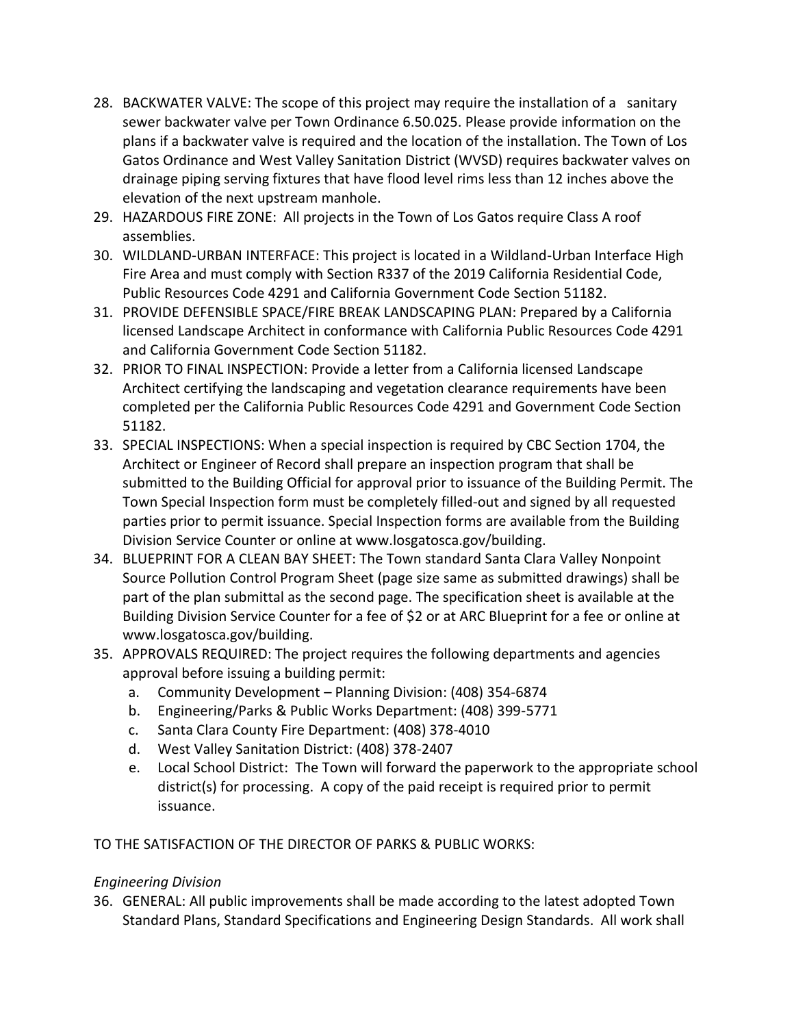- 28. BACKWATER VALVE: The scope of this project may require the installation of a sanitary sewer backwater valve per Town Ordinance 6.50.025. Please provide information on the plans if a backwater valve is required and the location of the installation. The Town of Los Gatos Ordinance and West Valley Sanitation District (WVSD) requires backwater valves on drainage piping serving fixtures that have flood level rims less than 12 inches above the elevation of the next upstream manhole.
- 29. HAZARDOUS FIRE ZONE: All projects in the Town of Los Gatos require Class A roof assemblies.
- 30. WILDLAND-URBAN INTERFACE: This project is located in a Wildland-Urban Interface High Fire Area and must comply with Section R337 of the 2019 California Residential Code, Public Resources Code 4291 and California Government Code Section 51182.
- 31. PROVIDE DEFENSIBLE SPACE/FIRE BREAK LANDSCAPING PLAN: Prepared by a California licensed Landscape Architect in conformance with California Public Resources Code 4291 and California Government Code Section 51182.
- 32. PRIOR TO FINAL INSPECTION: Provide a letter from a California licensed Landscape Architect certifying the landscaping and vegetation clearance requirements have been completed per the California Public Resources Code 4291 and Government Code Section 51182.
- 33. SPECIAL INSPECTIONS: When a special inspection is required by CBC Section 1704, the Architect or Engineer of Record shall prepare an inspection program that shall be submitted to the Building Official for approval prior to issuance of the Building Permit. The Town Special Inspection form must be completely filled-out and signed by all requested parties prior to permit issuance. Special Inspection forms are available from the Building Division Service Counter or online at www.losgatosca.gov/building.
- 34. BLUEPRINT FOR A CLEAN BAY SHEET: The Town standard Santa Clara Valley Nonpoint Source Pollution Control Program Sheet (page size same as submitted drawings) shall be part of the plan submittal as the second page. The specification sheet is available at the Building Division Service Counter for a fee of \$2 or at ARC Blueprint for a fee or online at www.losgatosca.gov/building.
- 35. APPROVALS REQUIRED: The project requires the following departments and agencies approval before issuing a building permit:
	- a. Community Development Planning Division: (408) 354-6874
	- b. Engineering/Parks & Public Works Department: (408) 399-5771
	- c. Santa Clara County Fire Department: (408) 378-4010
	- d. West Valley Sanitation District: (408) 378-2407
	- e. Local School District: The Town will forward the paperwork to the appropriate school district(s) for processing. A copy of the paid receipt is required prior to permit issuance.

TO THE SATISFACTION OF THE DIRECTOR OF PARKS & PUBLIC WORKS:

# *Engineering Division*

36. GENERAL: All public improvements shall be made according to the latest adopted Town Standard Plans, Standard Specifications and Engineering Design Standards. All work shall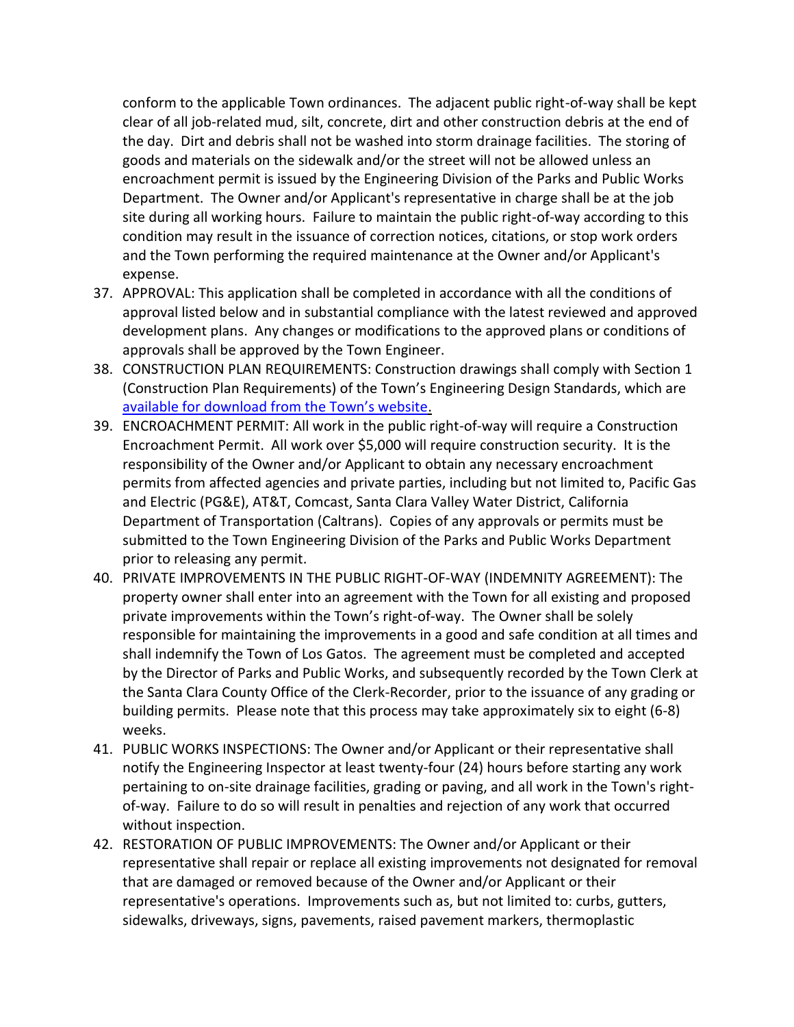conform to the applicable Town ordinances. The adjacent public right-of-way shall be kept clear of all job-related mud, silt, concrete, dirt and other construction debris at the end of the day. Dirt and debris shall not be washed into storm drainage facilities. The storing of goods and materials on the sidewalk and/or the street will not be allowed unless an encroachment permit is issued by the Engineering Division of the Parks and Public Works Department. The Owner and/or Applicant's representative in charge shall be at the job site during all working hours. Failure to maintain the public right-of-way according to this condition may result in the issuance of correction notices, citations, or stop work orders and the Town performing the required maintenance at the Owner and/or Applicant's expense.

- 37. APPROVAL: This application shall be completed in accordance with all the conditions of approval listed below and in substantial compliance with the latest reviewed and approved development plans. Any changes or modifications to the approved plans or conditions of approvals shall be approved by the Town Engineer.
- 38. CONSTRUCTION PLAN REQUIREMENTS: Construction drawings shall comply with Section 1 (Construction Plan Requirements) of the Town's Engineering Design Standards, which are [available for download from the Town's website](https://www.losgatosca.gov/1088/Town-Engineering-Standards).
- 39. ENCROACHMENT PERMIT: All work in the public right-of-way will require a Construction Encroachment Permit. All work over \$5,000 will require construction security. It is the responsibility of the Owner and/or Applicant to obtain any necessary encroachment permits from affected agencies and private parties, including but not limited to, Pacific Gas and Electric (PG&E), AT&T, Comcast, Santa Clara Valley Water District, California Department of Transportation (Caltrans). Copies of any approvals or permits must be submitted to the Town Engineering Division of the Parks and Public Works Department prior to releasing any permit.
- 40. PRIVATE IMPROVEMENTS IN THE PUBLIC RIGHT-OF-WAY (INDEMNITY AGREEMENT): The property owner shall enter into an agreement with the Town for all existing and proposed private improvements within the Town's right-of-way. The Owner shall be solely responsible for maintaining the improvements in a good and safe condition at all times and shall indemnify the Town of Los Gatos. The agreement must be completed and accepted by the Director of Parks and Public Works, and subsequently recorded by the Town Clerk at the Santa Clara County Office of the Clerk-Recorder, prior to the issuance of any grading or building permits. Please note that this process may take approximately six to eight (6-8) weeks.
- 41. PUBLIC WORKS INSPECTIONS: The Owner and/or Applicant or their representative shall notify the Engineering Inspector at least twenty-four (24) hours before starting any work pertaining to on-site drainage facilities, grading or paving, and all work in the Town's rightof-way. Failure to do so will result in penalties and rejection of any work that occurred without inspection.
- 42. RESTORATION OF PUBLIC IMPROVEMENTS: The Owner and/or Applicant or their representative shall repair or replace all existing improvements not designated for removal that are damaged or removed because of the Owner and/or Applicant or their representative's operations. Improvements such as, but not limited to: curbs, gutters, sidewalks, driveways, signs, pavements, raised pavement markers, thermoplastic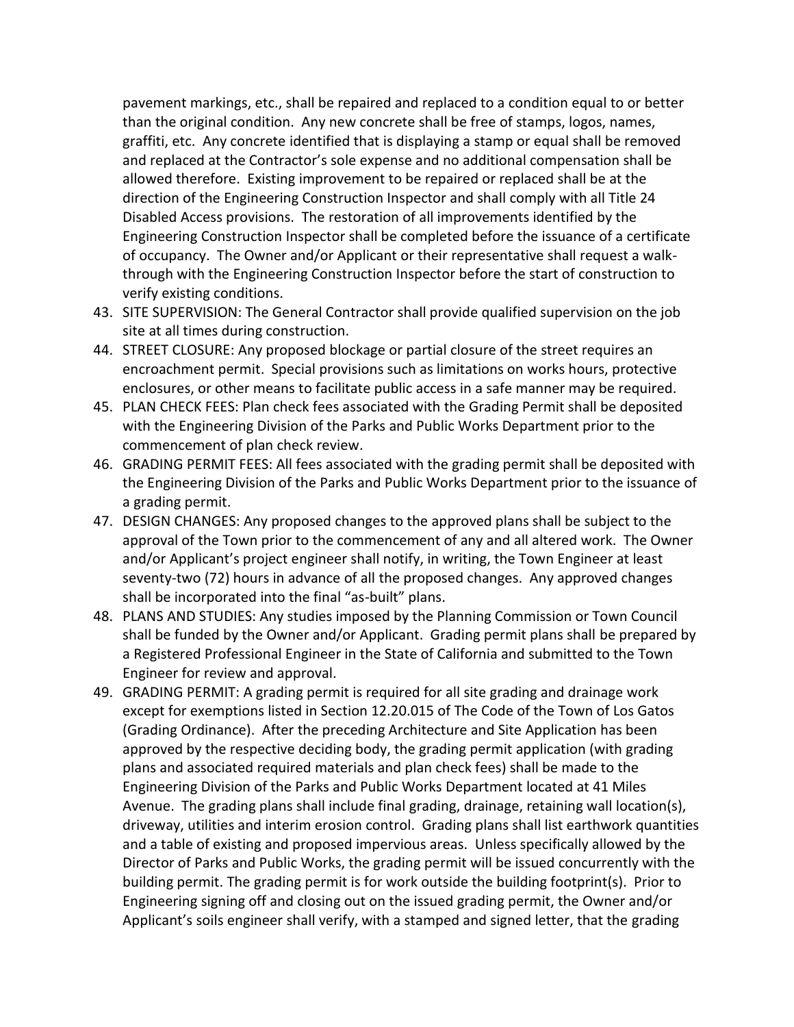pavement markings, etc., shall be repaired and replaced to a condition equal to or better than the original condition. Any new concrete shall be free of stamps, logos, names, graffiti, etc. Any concrete identified that is displaying a stamp or equal shall be removed and replaced at the Contractor's sole expense and no additional compensation shall be allowed therefore. Existing improvement to be repaired or replaced shall be at the direction of the Engineering Construction Inspector and shall comply with all Title 24 Disabled Access provisions. The restoration of all improvements identified by the Engineering Construction Inspector shall be completed before the issuance of a certificate of occupancy. The Owner and/or Applicant or their representative shall request a walkthrough with the Engineering Construction Inspector before the start of construction to verify existing conditions.

- 43. SITE SUPERVISION: The General Contractor shall provide qualified supervision on the job site at all times during construction.
- 44. STREET CLOSURE: Any proposed blockage or partial closure of the street requires an encroachment permit. Special provisions such as limitations on works hours, protective enclosures, or other means to facilitate public access in a safe manner may be required.
- 45. PLAN CHECK FEES: Plan check fees associated with the Grading Permit shall be deposited with the Engineering Division of the Parks and Public Works Department prior to the commencement of plan check review.
- 46. GRADING PERMIT FEES: All fees associated with the grading permit shall be deposited with the Engineering Division of the Parks and Public Works Department prior to the issuance of a grading permit.
- 47. DESIGN CHANGES: Any proposed changes to the approved plans shall be subject to the approval of the Town prior to the commencement of any and all altered work. The Owner and/or Applicant's project engineer shall notify, in writing, the Town Engineer at least seventy-two (72) hours in advance of all the proposed changes. Any approved changes shall be incorporated into the final "as-built" plans.
- 48. PLANS AND STUDIES: Any studies imposed by the Planning Commission or Town Council shall be funded by the Owner and/or Applicant. Grading permit plans shall be prepared by a Registered Professional Engineer in the State of California and submitted to the Town Engineer for review and approval.
- 49. GRADING PERMIT: A grading permit is required for all site grading and drainage work except for exemptions listed in Section 12.20.015 of The Code of the Town of Los Gatos (Grading Ordinance). After the preceding Architecture and Site Application has been approved by the respective deciding body, the grading permit application (with grading plans and associated required materials and plan check fees) shall be made to the Engineering Division of the Parks and Public Works Department located at 41 Miles Avenue. The grading plans shall include final grading, drainage, retaining wall location(s), driveway, utilities and interim erosion control. Grading plans shall list earthwork quantities and a table of existing and proposed impervious areas. Unless specifically allowed by the Director of Parks and Public Works, the grading permit will be issued concurrently with the building permit. The grading permit is for work outside the building footprint(s). Prior to Engineering signing off and closing out on the issued grading permit, the Owner and/or Applicant's soils engineer shall verify, with a stamped and signed letter, that the grading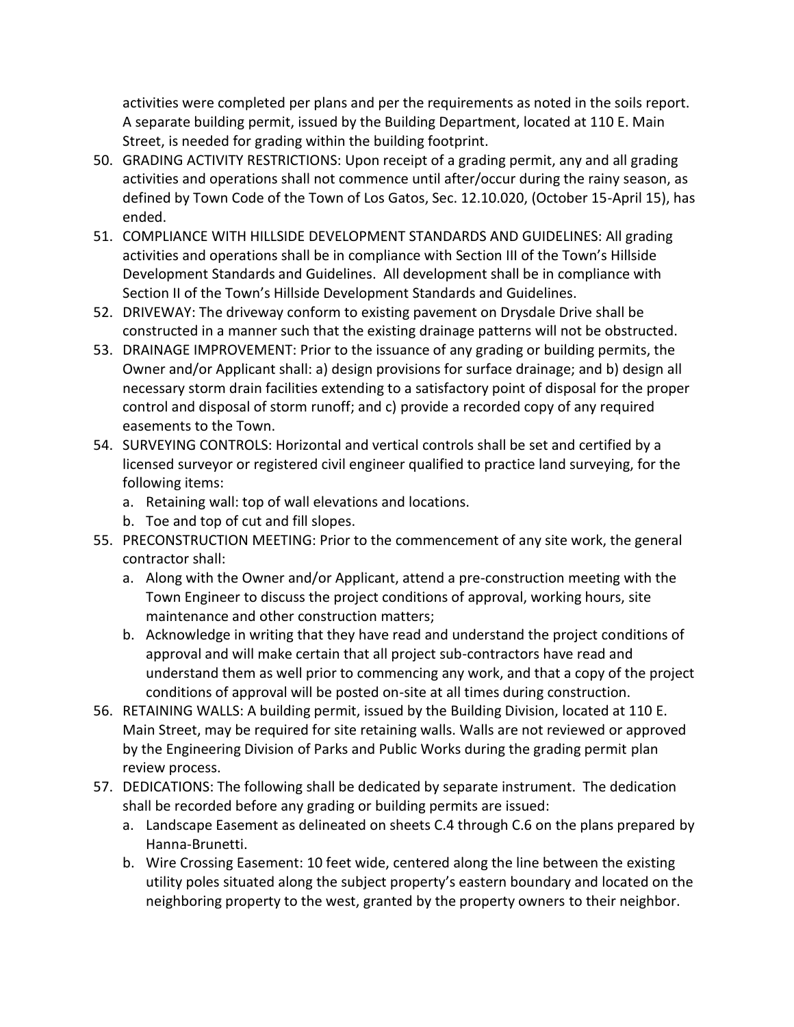activities were completed per plans and per the requirements as noted in the soils report. A separate building permit, issued by the Building Department, located at 110 E. Main Street, is needed for grading within the building footprint.

- 50. GRADING ACTIVITY RESTRICTIONS: Upon receipt of a grading permit, any and all grading activities and operations shall not commence until after/occur during the rainy season, as defined by Town Code of the Town of Los Gatos, Sec. 12.10.020, (October 15-April 15), has ended.
- 51. COMPLIANCE WITH HILLSIDE DEVELOPMENT STANDARDS AND GUIDELINES: All grading activities and operations shall be in compliance with Section III of the Town's Hillside Development Standards and Guidelines. All development shall be in compliance with Section II of the Town's Hillside Development Standards and Guidelines.
- 52. DRIVEWAY: The driveway conform to existing pavement on Drysdale Drive shall be constructed in a manner such that the existing drainage patterns will not be obstructed.
- 53. DRAINAGE IMPROVEMENT: Prior to the issuance of any grading or building permits, the Owner and/or Applicant shall: a) design provisions for surface drainage; and b) design all necessary storm drain facilities extending to a satisfactory point of disposal for the proper control and disposal of storm runoff; and c) provide a recorded copy of any required easements to the Town.
- 54. SURVEYING CONTROLS: Horizontal and vertical controls shall be set and certified by a licensed surveyor or registered civil engineer qualified to practice land surveying, for the following items:
	- a. Retaining wall: top of wall elevations and locations.
	- b. Toe and top of cut and fill slopes.
- 55. PRECONSTRUCTION MEETING: Prior to the commencement of any site work, the general contractor shall:
	- a. Along with the Owner and/or Applicant, attend a pre-construction meeting with the Town Engineer to discuss the project conditions of approval, working hours, site maintenance and other construction matters;
	- b. Acknowledge in writing that they have read and understand the project conditions of approval and will make certain that all project sub-contractors have read and understand them as well prior to commencing any work, and that a copy of the project conditions of approval will be posted on-site at all times during construction.
- 56. RETAINING WALLS: A building permit, issued by the Building Division, located at 110 E. Main Street, may be required for site retaining walls. Walls are not reviewed or approved by the Engineering Division of Parks and Public Works during the grading permit plan review process.
- 57. DEDICATIONS: The following shall be dedicated by separate instrument. The dedication shall be recorded before any grading or building permits are issued:
	- a. Landscape Easement as delineated on sheets C.4 through C.6 on the plans prepared by Hanna-Brunetti.
	- b. Wire Crossing Easement: 10 feet wide, centered along the line between the existing utility poles situated along the subject property's eastern boundary and located on the neighboring property to the west, granted by the property owners to their neighbor.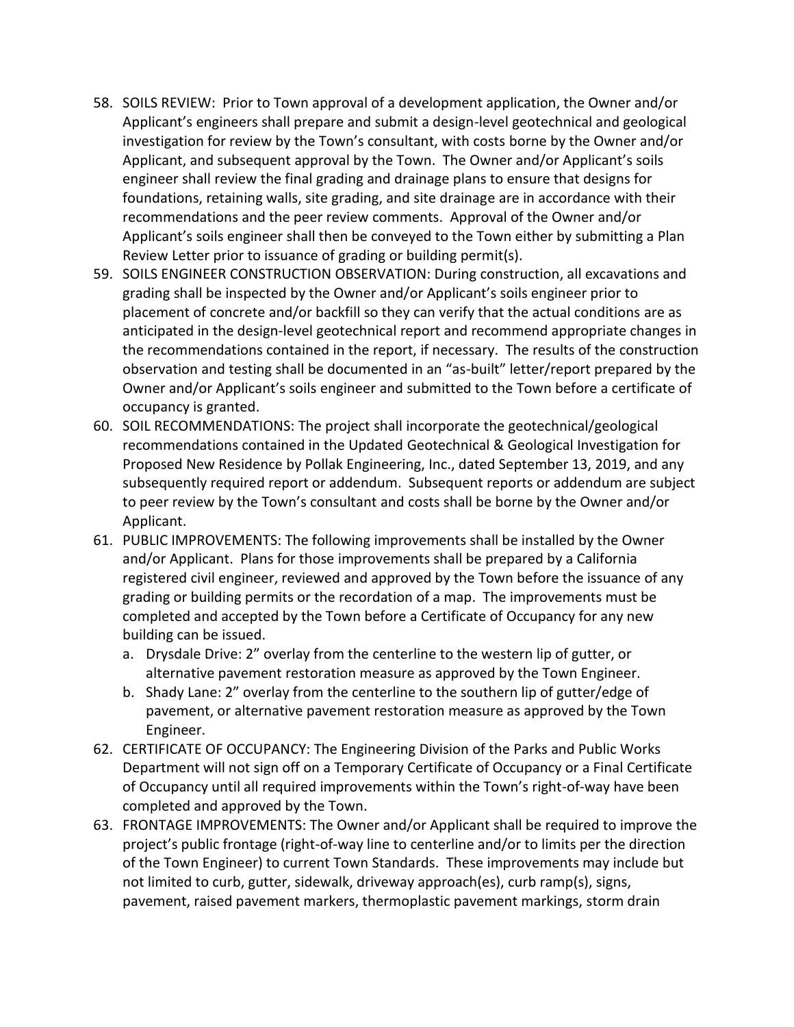- 58. SOILS REVIEW: Prior to Town approval of a development application, the Owner and/or Applicant's engineers shall prepare and submit a design-level geotechnical and geological investigation for review by the Town's consultant, with costs borne by the Owner and/or Applicant, and subsequent approval by the Town. The Owner and/or Applicant's soils engineer shall review the final grading and drainage plans to ensure that designs for foundations, retaining walls, site grading, and site drainage are in accordance with their recommendations and the peer review comments. Approval of the Owner and/or Applicant's soils engineer shall then be conveyed to the Town either by submitting a Plan Review Letter prior to issuance of grading or building permit(s).
- 59. SOILS ENGINEER CONSTRUCTION OBSERVATION: During construction, all excavations and grading shall be inspected by the Owner and/or Applicant's soils engineer prior to placement of concrete and/or backfill so they can verify that the actual conditions are as anticipated in the design-level geotechnical report and recommend appropriate changes in the recommendations contained in the report, if necessary. The results of the construction observation and testing shall be documented in an "as-built" letter/report prepared by the Owner and/or Applicant's soils engineer and submitted to the Town before a certificate of occupancy is granted.
- 60. SOIL RECOMMENDATIONS: The project shall incorporate the geotechnical/geological recommendations contained in the Updated Geotechnical & Geological Investigation for Proposed New Residence by Pollak Engineering, Inc., dated September 13, 2019, and any subsequently required report or addendum. Subsequent reports or addendum are subject to peer review by the Town's consultant and costs shall be borne by the Owner and/or Applicant.
- 61. PUBLIC IMPROVEMENTS: The following improvements shall be installed by the Owner and/or Applicant. Plans for those improvements shall be prepared by a California registered civil engineer, reviewed and approved by the Town before the issuance of any grading or building permits or the recordation of a map. The improvements must be completed and accepted by the Town before a Certificate of Occupancy for any new building can be issued.
	- a. Drysdale Drive: 2" overlay from the centerline to the western lip of gutter, or alternative pavement restoration measure as approved by the Town Engineer.
	- b. Shady Lane: 2" overlay from the centerline to the southern lip of gutter/edge of pavement, or alternative pavement restoration measure as approved by the Town Engineer.
- 62. CERTIFICATE OF OCCUPANCY: The Engineering Division of the Parks and Public Works Department will not sign off on a Temporary Certificate of Occupancy or a Final Certificate of Occupancy until all required improvements within the Town's right-of-way have been completed and approved by the Town.
- 63. FRONTAGE IMPROVEMENTS: The Owner and/or Applicant shall be required to improve the project's public frontage (right-of-way line to centerline and/or to limits per the direction of the Town Engineer) to current Town Standards. These improvements may include but not limited to curb, gutter, sidewalk, driveway approach(es), curb ramp(s), signs, pavement, raised pavement markers, thermoplastic pavement markings, storm drain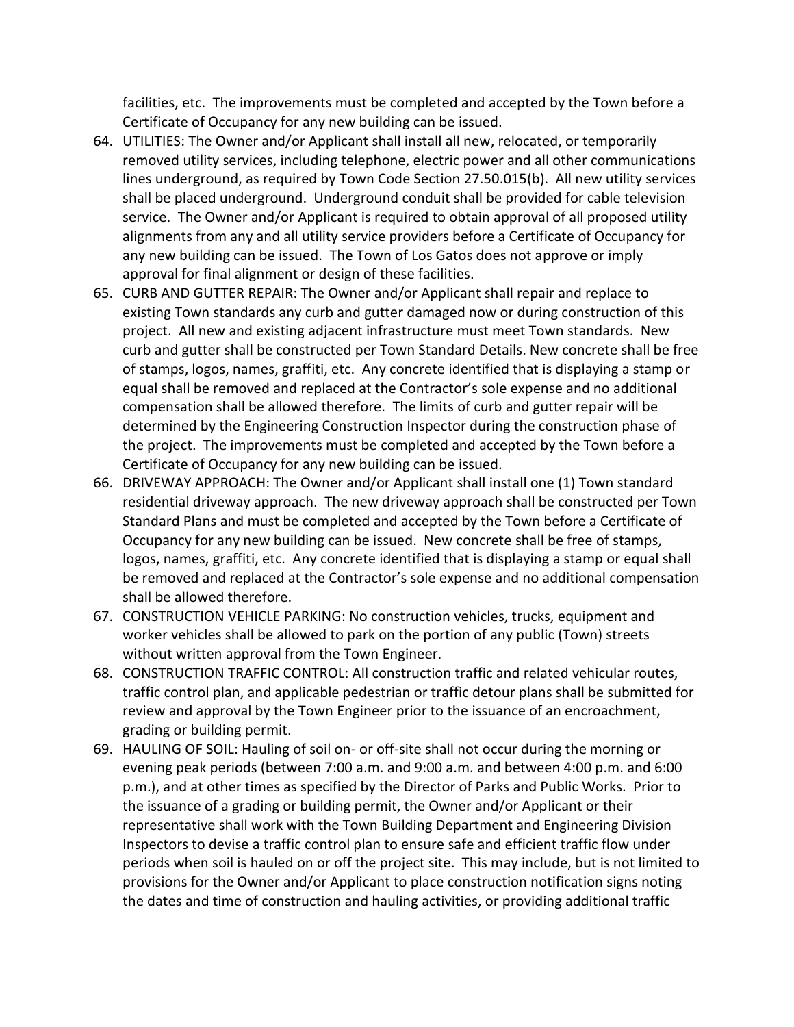facilities, etc. The improvements must be completed and accepted by the Town before a Certificate of Occupancy for any new building can be issued.

- 64. UTILITIES: The Owner and/or Applicant shall install all new, relocated, or temporarily removed utility services, including telephone, electric power and all other communications lines underground, as required by Town Code Section 27.50.015(b). All new utility services shall be placed underground. Underground conduit shall be provided for cable television service. The Owner and/or Applicant is required to obtain approval of all proposed utility alignments from any and all utility service providers before a Certificate of Occupancy for any new building can be issued. The Town of Los Gatos does not approve or imply approval for final alignment or design of these facilities.
- 65. CURB AND GUTTER REPAIR: The Owner and/or Applicant shall repair and replace to existing Town standards any curb and gutter damaged now or during construction of this project. All new and existing adjacent infrastructure must meet Town standards. New curb and gutter shall be constructed per Town Standard Details. New concrete shall be free of stamps, logos, names, graffiti, etc. Any concrete identified that is displaying a stamp or equal shall be removed and replaced at the Contractor's sole expense and no additional compensation shall be allowed therefore. The limits of curb and gutter repair will be determined by the Engineering Construction Inspector during the construction phase of the project. The improvements must be completed and accepted by the Town before a Certificate of Occupancy for any new building can be issued.
- 66. DRIVEWAY APPROACH: The Owner and/or Applicant shall install one (1) Town standard residential driveway approach. The new driveway approach shall be constructed per Town Standard Plans and must be completed and accepted by the Town before a Certificate of Occupancy for any new building can be issued. New concrete shall be free of stamps, logos, names, graffiti, etc. Any concrete identified that is displaying a stamp or equal shall be removed and replaced at the Contractor's sole expense and no additional compensation shall be allowed therefore.
- 67. CONSTRUCTION VEHICLE PARKING: No construction vehicles, trucks, equipment and worker vehicles shall be allowed to park on the portion of any public (Town) streets without written approval from the Town Engineer.
- 68. CONSTRUCTION TRAFFIC CONTROL: All construction traffic and related vehicular routes, traffic control plan, and applicable pedestrian or traffic detour plans shall be submitted for review and approval by the Town Engineer prior to the issuance of an encroachment, grading or building permit.
- 69. HAULING OF SOIL: Hauling of soil on- or off-site shall not occur during the morning or evening peak periods (between 7:00 a.m. and 9:00 a.m. and between 4:00 p.m. and 6:00 p.m.), and at other times as specified by the Director of Parks and Public Works. Prior to the issuance of a grading or building permit, the Owner and/or Applicant or their representative shall work with the Town Building Department and Engineering Division Inspectors to devise a traffic control plan to ensure safe and efficient traffic flow under periods when soil is hauled on or off the project site. This may include, but is not limited to provisions for the Owner and/or Applicant to place construction notification signs noting the dates and time of construction and hauling activities, or providing additional traffic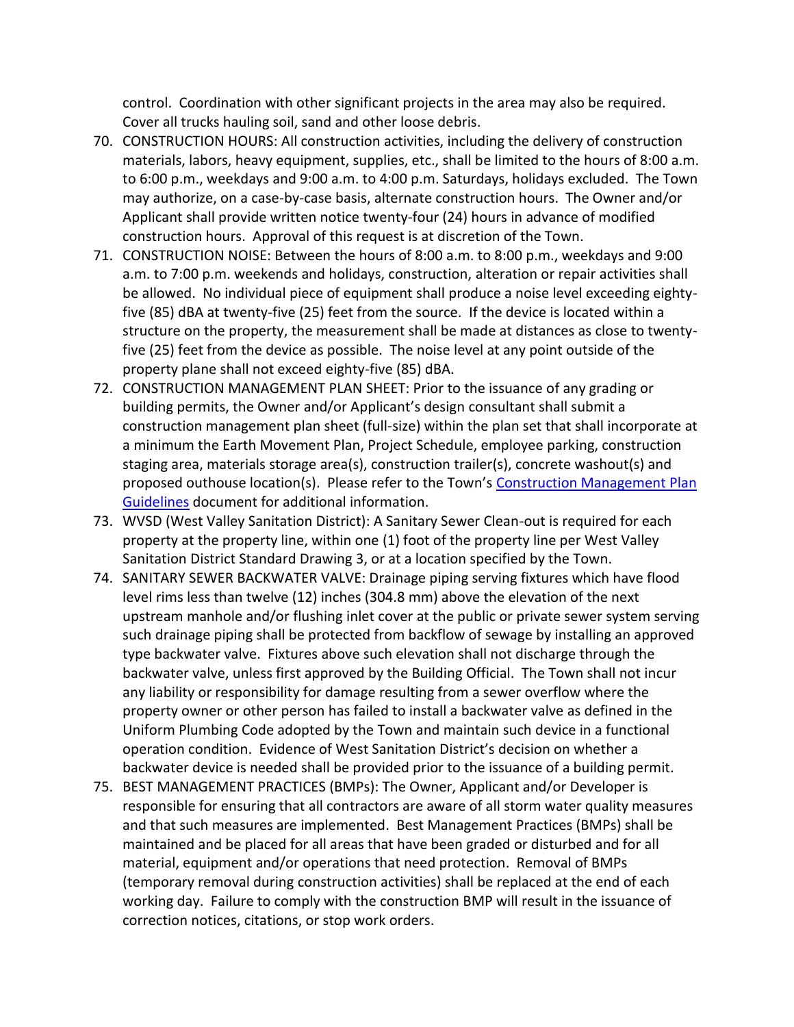control. Coordination with other significant projects in the area may also be required. Cover all trucks hauling soil, sand and other loose debris.

- 70. CONSTRUCTION HOURS: All construction activities, including the delivery of construction materials, labors, heavy equipment, supplies, etc., shall be limited to the hours of 8:00 a.m. to 6:00 p.m., weekdays and 9:00 a.m. to 4:00 p.m. Saturdays, holidays excluded. The Town may authorize, on a case-by-case basis, alternate construction hours. The Owner and/or Applicant shall provide written notice twenty-four (24) hours in advance of modified construction hours. Approval of this request is at discretion of the Town.
- 71. CONSTRUCTION NOISE: Between the hours of 8:00 a.m. to 8:00 p.m., weekdays and 9:00 a.m. to 7:00 p.m. weekends and holidays, construction, alteration or repair activities shall be allowed. No individual piece of equipment shall produce a noise level exceeding eightyfive (85) dBA at twenty-five (25) feet from the source. If the device is located within a structure on the property, the measurement shall be made at distances as close to twentyfive (25) feet from the device as possible. The noise level at any point outside of the property plane shall not exceed eighty-five (85) dBA.
- 72. CONSTRUCTION MANAGEMENT PLAN SHEET: Prior to the issuance of any grading or building permits, the Owner and/or Applicant's design consultant shall submit a construction management plan sheet (full-size) within the plan set that shall incorporate at a minimum the Earth Movement Plan, Project Schedule, employee parking, construction staging area, materials storage area(s), construction trailer(s), concrete washout(s) and proposed outhouse location(s). Please refer to the Town's Construction Management Plan [Guidelines](http://www.losgatosca.gov/DocumentCenter/View/17600) document for additional information.
- 73. WVSD (West Valley Sanitation District): A Sanitary Sewer Clean-out is required for each property at the property line, within one (1) foot of the property line per West Valley Sanitation District Standard Drawing 3, or at a location specified by the Town.
- 74. SANITARY SEWER BACKWATER VALVE: Drainage piping serving fixtures which have flood level rims less than twelve (12) inches (304.8 mm) above the elevation of the next upstream manhole and/or flushing inlet cover at the public or private sewer system serving such drainage piping shall be protected from backflow of sewage by installing an approved type backwater valve. Fixtures above such elevation shall not discharge through the backwater valve, unless first approved by the Building Official. The Town shall not incur any liability or responsibility for damage resulting from a sewer overflow where the property owner or other person has failed to install a backwater valve as defined in the Uniform Plumbing Code adopted by the Town and maintain such device in a functional operation condition. Evidence of West Sanitation District's decision on whether a backwater device is needed shall be provided prior to the issuance of a building permit.
- 75. BEST MANAGEMENT PRACTICES (BMPs): The Owner, Applicant and/or Developer is responsible for ensuring that all contractors are aware of all storm water quality measures and that such measures are implemented. Best Management Practices (BMPs) shall be maintained and be placed for all areas that have been graded or disturbed and for all material, equipment and/or operations that need protection. Removal of BMPs (temporary removal during construction activities) shall be replaced at the end of each working day. Failure to comply with the construction BMP will result in the issuance of correction notices, citations, or stop work orders.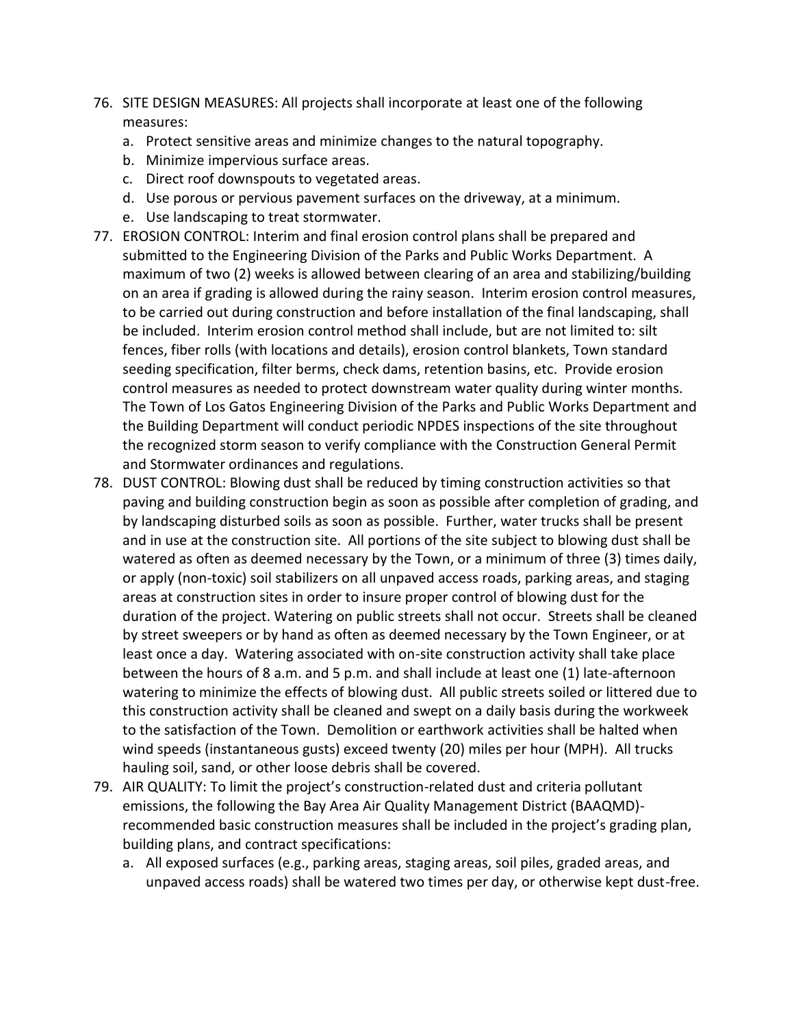- 76. SITE DESIGN MEASURES: All projects shall incorporate at least one of the following measures:
	- a. Protect sensitive areas and minimize changes to the natural topography.
	- b. Minimize impervious surface areas.
	- c. Direct roof downspouts to vegetated areas.
	- d. Use porous or pervious pavement surfaces on the driveway, at a minimum.
	- e. Use landscaping to treat stormwater.
- 77. EROSION CONTROL: Interim and final erosion control plans shall be prepared and submitted to the Engineering Division of the Parks and Public Works Department. A maximum of two (2) weeks is allowed between clearing of an area and stabilizing/building on an area if grading is allowed during the rainy season. Interim erosion control measures, to be carried out during construction and before installation of the final landscaping, shall be included. Interim erosion control method shall include, but are not limited to: silt fences, fiber rolls (with locations and details), erosion control blankets, Town standard seeding specification, filter berms, check dams, retention basins, etc. Provide erosion control measures as needed to protect downstream water quality during winter months. The Town of Los Gatos Engineering Division of the Parks and Public Works Department and the Building Department will conduct periodic NPDES inspections of the site throughout the recognized storm season to verify compliance with the Construction General Permit and Stormwater ordinances and regulations.
- 78. DUST CONTROL: Blowing dust shall be reduced by timing construction activities so that paving and building construction begin as soon as possible after completion of grading, and by landscaping disturbed soils as soon as possible. Further, water trucks shall be present and in use at the construction site. All portions of the site subject to blowing dust shall be watered as often as deemed necessary by the Town, or a minimum of three (3) times daily, or apply (non-toxic) soil stabilizers on all unpaved access roads, parking areas, and staging areas at construction sites in order to insure proper control of blowing dust for the duration of the project. Watering on public streets shall not occur. Streets shall be cleaned by street sweepers or by hand as often as deemed necessary by the Town Engineer, or at least once a day. Watering associated with on-site construction activity shall take place between the hours of 8 a.m. and 5 p.m. and shall include at least one (1) late-afternoon watering to minimize the effects of blowing dust. All public streets soiled or littered due to this construction activity shall be cleaned and swept on a daily basis during the workweek to the satisfaction of the Town. Demolition or earthwork activities shall be halted when wind speeds (instantaneous gusts) exceed twenty (20) miles per hour (MPH). All trucks hauling soil, sand, or other loose debris shall be covered.
- 79. AIR QUALITY: To limit the project's construction-related dust and criteria pollutant emissions, the following the Bay Area Air Quality Management District (BAAQMD) recommended basic construction measures shall be included in the project's grading plan, building plans, and contract specifications:
	- a. All exposed surfaces (e.g., parking areas, staging areas, soil piles, graded areas, and unpaved access roads) shall be watered two times per day, or otherwise kept dust-free.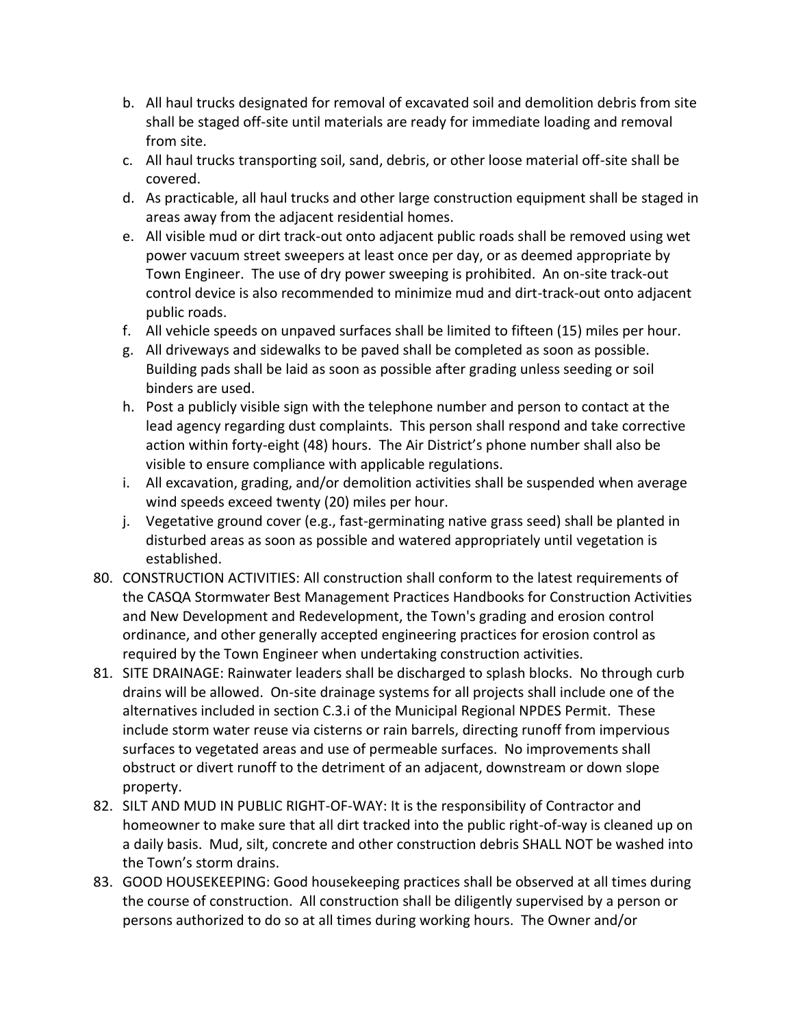- b. All haul trucks designated for removal of excavated soil and demolition debris from site shall be staged off-site until materials are ready for immediate loading and removal from site.
- c. All haul trucks transporting soil, sand, debris, or other loose material off-site shall be covered.
- d. As practicable, all haul trucks and other large construction equipment shall be staged in areas away from the adjacent residential homes.
- e. All visible mud or dirt track-out onto adjacent public roads shall be removed using wet power vacuum street sweepers at least once per day, or as deemed appropriate by Town Engineer. The use of dry power sweeping is prohibited. An on-site track-out control device is also recommended to minimize mud and dirt-track-out onto adjacent public roads.
- f. All vehicle speeds on unpaved surfaces shall be limited to fifteen (15) miles per hour.
- g. All driveways and sidewalks to be paved shall be completed as soon as possible. Building pads shall be laid as soon as possible after grading unless seeding or soil binders are used.
- h. Post a publicly visible sign with the telephone number and person to contact at the lead agency regarding dust complaints. This person shall respond and take corrective action within forty-eight (48) hours. The Air District's phone number shall also be visible to ensure compliance with applicable regulations.
- i. All excavation, grading, and/or demolition activities shall be suspended when average wind speeds exceed twenty (20) miles per hour.
- j. Vegetative ground cover (e.g., fast-germinating native grass seed) shall be planted in disturbed areas as soon as possible and watered appropriately until vegetation is established.
- 80. CONSTRUCTION ACTIVITIES: All construction shall conform to the latest requirements of the CASQA Stormwater Best Management Practices Handbooks for Construction Activities and New Development and Redevelopment, the Town's grading and erosion control ordinance, and other generally accepted engineering practices for erosion control as required by the Town Engineer when undertaking construction activities.
- 81. SITE DRAINAGE: Rainwater leaders shall be discharged to splash blocks. No through curb drains will be allowed. On-site drainage systems for all projects shall include one of the alternatives included in section C.3.i of the Municipal Regional NPDES Permit. These include storm water reuse via cisterns or rain barrels, directing runoff from impervious surfaces to vegetated areas and use of permeable surfaces. No improvements shall obstruct or divert runoff to the detriment of an adjacent, downstream or down slope property.
- 82. SILT AND MUD IN PUBLIC RIGHT-OF-WAY: It is the responsibility of Contractor and homeowner to make sure that all dirt tracked into the public right-of-way is cleaned up on a daily basis. Mud, silt, concrete and other construction debris SHALL NOT be washed into the Town's storm drains.
- 83. GOOD HOUSEKEEPING: Good housekeeping practices shall be observed at all times during the course of construction. All construction shall be diligently supervised by a person or persons authorized to do so at all times during working hours. The Owner and/or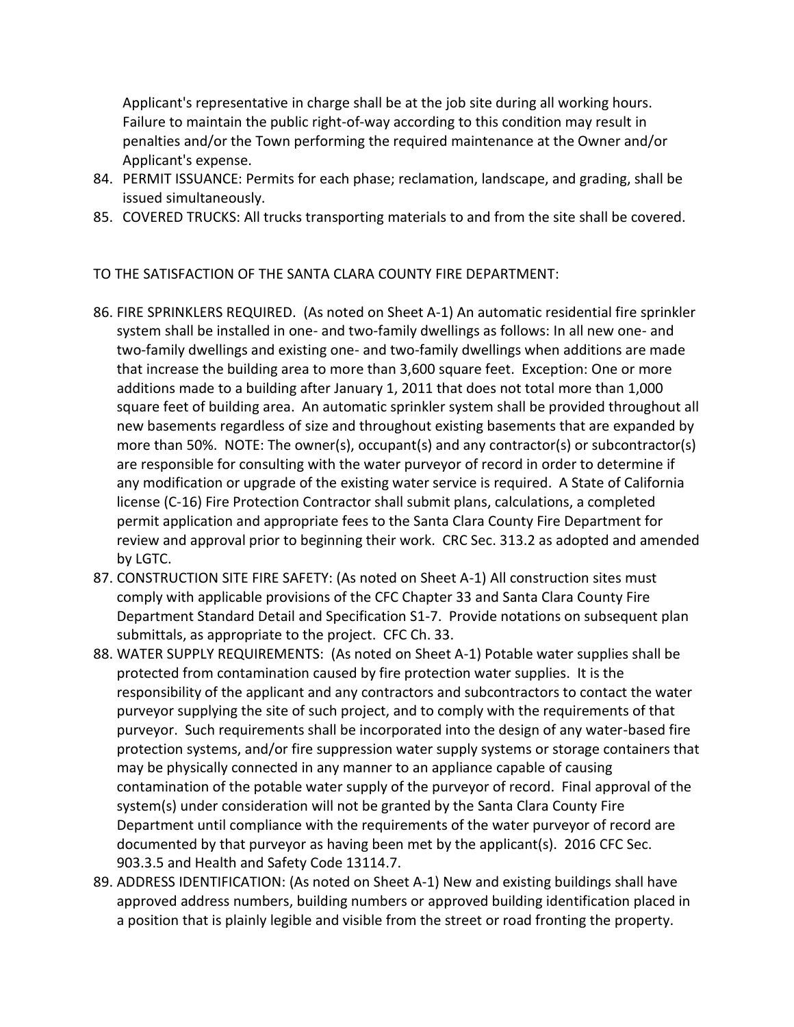Applicant's representative in charge shall be at the job site during all working hours. Failure to maintain the public right-of-way according to this condition may result in penalties and/or the Town performing the required maintenance at the Owner and/or Applicant's expense.

- 84. PERMIT ISSUANCE: Permits for each phase; reclamation, landscape, and grading, shall be issued simultaneously.
- 85. COVERED TRUCKS: All trucks transporting materials to and from the site shall be covered.

#### TO THE SATISFACTION OF THE SANTA CLARA COUNTY FIRE DEPARTMENT:

- 86. FIRE SPRINKLERS REQUIRED. (As noted on Sheet A-1) An automatic residential fire sprinkler system shall be installed in one- and two-family dwellings as follows: In all new one- and two-family dwellings and existing one- and two-family dwellings when additions are made that increase the building area to more than 3,600 square feet. Exception: One or more additions made to a building after January 1, 2011 that does not total more than 1,000 square feet of building area. An automatic sprinkler system shall be provided throughout all new basements regardless of size and throughout existing basements that are expanded by more than 50%. NOTE: The owner(s), occupant(s) and any contractor(s) or subcontractor(s) are responsible for consulting with the water purveyor of record in order to determine if any modification or upgrade of the existing water service is required. A State of California license (C-16) Fire Protection Contractor shall submit plans, calculations, a completed permit application and appropriate fees to the Santa Clara County Fire Department for review and approval prior to beginning their work. CRC Sec. 313.2 as adopted and amended by LGTC.
- 87. CONSTRUCTION SITE FIRE SAFETY: (As noted on Sheet A-1) All construction sites must comply with applicable provisions of the CFC Chapter 33 and Santa Clara County Fire Department Standard Detail and Specification S1-7. Provide notations on subsequent plan submittals, as appropriate to the project. CFC Ch. 33.
- 88. WATER SUPPLY REQUIREMENTS: (As noted on Sheet A-1) Potable water supplies shall be protected from contamination caused by fire protection water supplies. It is the responsibility of the applicant and any contractors and subcontractors to contact the water purveyor supplying the site of such project, and to comply with the requirements of that purveyor. Such requirements shall be incorporated into the design of any water-based fire protection systems, and/or fire suppression water supply systems or storage containers that may be physically connected in any manner to an appliance capable of causing contamination of the potable water supply of the purveyor of record. Final approval of the system(s) under consideration will not be granted by the Santa Clara County Fire Department until compliance with the requirements of the water purveyor of record are documented by that purveyor as having been met by the applicant(s). 2016 CFC Sec. 903.3.5 and Health and Safety Code 13114.7.
- 89. ADDRESS IDENTIFICATION: (As noted on Sheet A-1) New and existing buildings shall have approved address numbers, building numbers or approved building identification placed in a position that is plainly legible and visible from the street or road fronting the property.